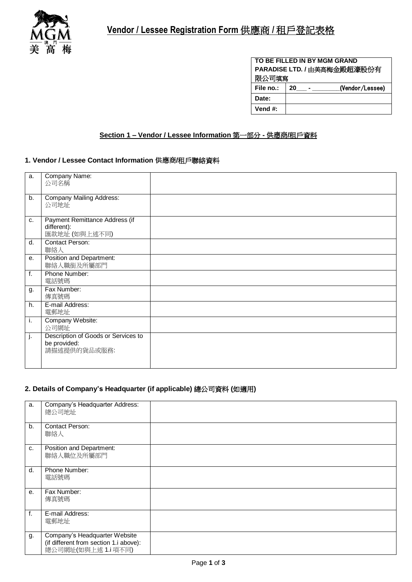

| TO BE FILLED IN BY MGM GRAND |                       |  |
|------------------------------|-----------------------|--|
| PARADISE LTD. / 由美高梅金殿超濠股份有  |                       |  |
| 限公司填寫                        |                       |  |
| File no.:                    | (Vendor/Lessee)<br>20 |  |
| Date:                        |                       |  |
| Vend #:                      |                       |  |

# **Section 1 – Vendor / Lessee Information** 第一部分 **-** 供應商**/**租戶資料

### **1. Vendor / Lessee Contact Information** 供應商**/**租戶聯絡資料

| a. | Company Name:<br>公司名稱                                               |  |
|----|---------------------------------------------------------------------|--|
| b. | <b>Company Mailing Address:</b><br>公司地址                             |  |
| c. | Payment Remittance Address (if<br>different):<br>匯款地址 (如與上述不同)      |  |
| d. | Contact Person:<br>聯絡人                                              |  |
| е. | Position and Department:<br>聯絡人職銜及所屬部門                              |  |
| f. | Phone Number:<br>電話號碼                                               |  |
| g. | Fax Number:<br>傳真號碼                                                 |  |
| h. | E-mail Address:<br>電郵地址                                             |  |
| i. | Company Website:<br>公司網址                                            |  |
| j. | Description of Goods or Services to<br>be provided:<br>請描述提供的貨品或服務: |  |

### **2. Details of Company's Headquarter (if applicable)** 總公司資料 **(**如適用**)**

| a. | Company's Headquarter Address:<br>總公司地址                                                        |  |
|----|------------------------------------------------------------------------------------------------|--|
| b. | <b>Contact Person:</b><br>聯絡人                                                                  |  |
| C. | Position and Department:<br>聯絡人職位及所屬部門                                                         |  |
| d. | Phone Number:<br>電話號碼                                                                          |  |
| е. | Fax Number:<br>傳真號碼                                                                            |  |
| f. | E-mail Address:<br>電郵地址                                                                        |  |
| g. | Company's Headquarter Website<br>(if different from section 1.i above):<br>總公司網址(如與上述 1.i 項不同) |  |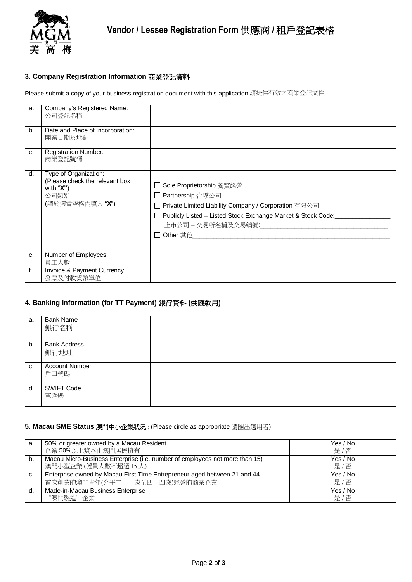

## **3. Company Registration Information** 商業登記資料

Please submit a copy of your business registration document with this application 請提供有效之商業登記文件

| a. | Company's Registered Name:<br>公司登記名稱                                                               |                                                                                                                                                                                       |
|----|----------------------------------------------------------------------------------------------------|---------------------------------------------------------------------------------------------------------------------------------------------------------------------------------------|
| b. | Date and Place of Incorporation:<br>開業日期及地點                                                        |                                                                                                                                                                                       |
| C. | <b>Registration Number:</b><br>商業登記號碼                                                              |                                                                                                                                                                                       |
| d. | Type of Organization:<br>(Please check the relevant box<br>with " $X$ ")<br>公司類別<br>(請於適當空格內填入"X") | Sole Proprietorship 獨資經營<br>Partnership 合夥公司<br>Private Limited Liability Company / Corporation 有限公司<br>Publicly Listed - Listed Stock Exchange Market & Stock Code:<br>Other 其他<br>H |
| е. | Number of Employees:<br>員工人數                                                                       |                                                                                                                                                                                       |
| f. | Invoice & Payment Currency<br>發票及付款貨幣單位                                                            |                                                                                                                                                                                       |

### **4. Banking Information (for TT Payment)** 銀行資料 **(**供匯款用**)**

| a. | <b>Bank Name</b><br>銀行名稱      |  |
|----|-------------------------------|--|
| b. | <b>Bank Address</b><br>銀行地址   |  |
| C. | <b>Account Number</b><br>戶口號碼 |  |
| d. | <b>SWIFT Code</b><br>電匯碼      |  |

#### **5. Macau SME Status** 澳門中小企業狀況 : (Please circle as appropriate 請圈出適用者)

| а. | 50% or greater owned by a Macau Resident<br>企業50%以上資本由澳門居民擁有                                      | Yes / No<br>是/否 |
|----|---------------------------------------------------------------------------------------------------|-----------------|
| b. | Macau Micro-Business Enterprise (i.e. number of employees not more than 15)<br>澳門小型企業(僱員人數不超過15人) | Yes / No<br>是/否 |
| c. | Enterprise owned by Macau First Time Entrepreneur aged between 21 and 44                          | Yes / No        |
|    | 首次創業的澳門青年(介乎二十一歲至四十四歲)經營的商業企業                                                                     | 是/否             |
| d. | Made-in-Macau Business Enterprise                                                                 | Yes / No        |
|    | "澳門製造"企業                                                                                          | 是/否             |